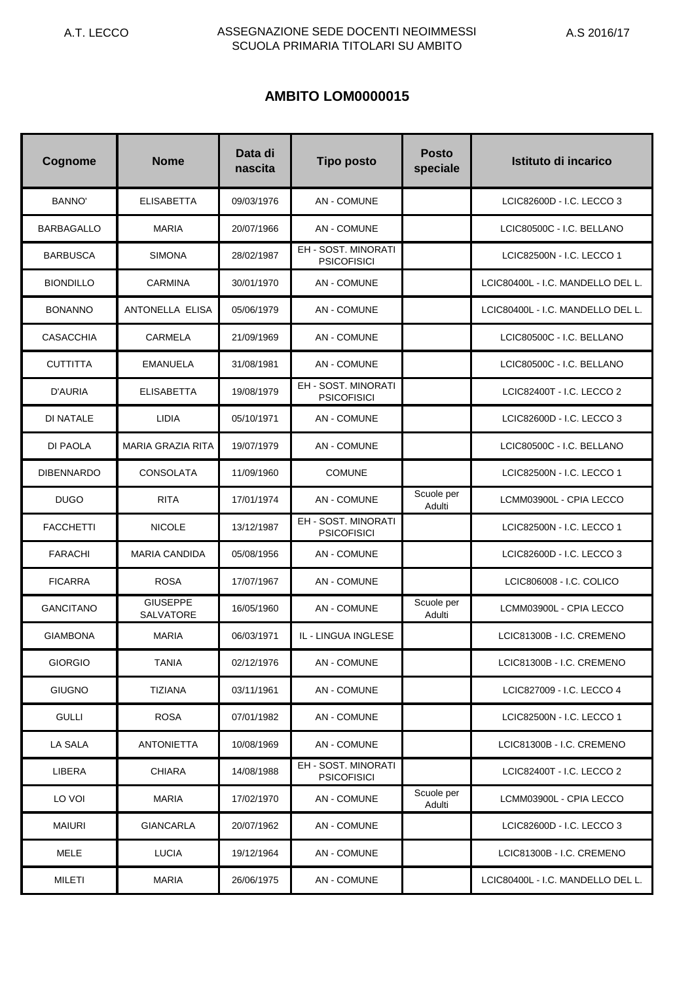# **AMBITO LOM0000015**

| Cognome           | <b>Nome</b>                         | Data di<br>nascita | <b>Tipo posto</b>                                | <b>Posto</b><br>speciale | Istituto di incarico              |
|-------------------|-------------------------------------|--------------------|--------------------------------------------------|--------------------------|-----------------------------------|
| <b>BANNO'</b>     | <b>ELISABETTA</b>                   | 09/03/1976         | <b>AN - COMUNE</b>                               |                          | LCIC82600D - I.C. LECCO 3         |
| <b>BARBAGALLO</b> | <b>MARIA</b>                        | 20/07/1966         | <b>AN - COMUNE</b>                               |                          | LCIC80500C - I.C. BELLANO         |
| <b>BARBUSCA</b>   | <b>SIMONA</b>                       | 28/02/1987         | EH - SOST. MINORATI<br><b>PSICOFISICI</b>        |                          | LCIC82500N - I.C. LECCO 1         |
| <b>BIONDILLO</b>  | <b>CARMINA</b>                      | 30/01/1970         | <b>AN - COMUNE</b>                               |                          | LCIC80400L - I.C. MANDELLO DEL L. |
| <b>BONANNO</b>    | ANTONELLA ELISA                     | 05/06/1979         | <b>AN - COMUNE</b>                               |                          | LCIC80400L - I.C. MANDELLO DEL L. |
| <b>CASACCHIA</b>  | CARMELA                             | 21/09/1969         | <b>AN - COMUNE</b>                               |                          | LCIC80500C - I.C. BELLANO         |
| <b>CUTTITTA</b>   | <b>EMANUELA</b>                     | 31/08/1981         | <b>AN - COMUNE</b>                               |                          | LCIC80500C - I.C. BELLANO         |
| D'AURIA           | <b>ELISABETTA</b>                   | 19/08/1979         | <b>EH - SOST, MINORATI</b><br><b>PSICOFISICI</b> |                          | LCIC82400T - I.C. LECCO 2         |
| <b>DI NATALE</b>  | <b>LIDIA</b>                        | 05/10/1971         | <b>AN - COMUNE</b>                               |                          | LCIC82600D - I.C. LECCO 3         |
| DI PAOLA          | <b>MARIA GRAZIA RITA</b>            | 19/07/1979         | <b>AN - COMUNE</b>                               |                          | LCIC80500C - I.C. BELLANO         |
| <b>DIBENNARDO</b> | <b>CONSOLATA</b>                    | 11/09/1960         | <b>COMUNE</b>                                    |                          | LCIC82500N - I.C. LECCO 1         |
| <b>DUGO</b>       | <b>RITA</b>                         | 17/01/1974         | <b>AN - COMUNE</b>                               | Scuole per<br>Adulti     | LCMM03900L - CPIA LECCO           |
| <b>FACCHETTI</b>  | <b>NICOLE</b>                       | 13/12/1987         | EH - SOST. MINORATI<br><b>PSICOFISICI</b>        |                          | LCIC82500N - I.C. LECCO 1         |
| <b>FARACHI</b>    | <b>MARIA CANDIDA</b>                | 05/08/1956         | <b>AN - COMUNE</b>                               |                          | LCIC82600D - I.C. LECCO 3         |
| <b>FICARRA</b>    | <b>ROSA</b>                         | 17/07/1967         | <b>AN - COMUNE</b>                               |                          | LCIC806008 - I.C. COLICO          |
| <b>GANCITANO</b>  | <b>GIUSEPPE</b><br><b>SALVATORE</b> | 16/05/1960         | <b>AN - COMUNE</b>                               | Scuole per<br>Adulti     | LCMM03900L - CPIA LECCO           |
| <b>GIAMBONA</b>   | <b>MARIA</b>                        | 06/03/1971         | IL - LINGUA INGLESE                              |                          | LCIC81300B - I.C. CREMENO         |
| <b>GIORGIO</b>    | TANIA                               | 02/12/1976         | <b>AN - COMUNE</b>                               |                          | LCIC81300B - I.C. CREMENO         |
| <b>GIUGNO</b>     | <b>TIZIANA</b>                      | 03/11/1961         | AN - COMUNE                                      |                          | LCIC827009 - I.C. LECCO 4         |
| <b>GULLI</b>      | <b>ROSA</b>                         | 07/01/1982         | AN - COMUNE                                      |                          | LCIC82500N - I.C. LECCO 1         |
| <b>LA SALA</b>    | <b>ANTONIETTA</b>                   | 10/08/1969         | <b>AN - COMUNE</b>                               |                          | LCIC81300B - I.C. CREMENO         |
| LIBERA            | <b>CHIARA</b>                       | 14/08/1988         | EH - SOST. MINORATI<br><b>PSICOFISICI</b>        |                          | LCIC82400T - I.C. LECCO 2         |
| LO VOI            | MARIA                               | 17/02/1970         | <b>AN - COMUNE</b>                               | Scuole per<br>Adulti     | LCMM03900L - CPIA LECCO           |
| <b>MAIURI</b>     | <b>GIANCARLA</b>                    | 20/07/1962         | AN - COMUNE                                      |                          | LCIC82600D - I.C. LECCO 3         |
| MELE              | <b>LUCIA</b>                        | 19/12/1964         | AN - COMUNE                                      |                          | LCIC81300B - I.C. CREMENO         |
| MILETI            | MARIA                               | 26/06/1975         | AN - COMUNE                                      |                          | LCIC80400L - I.C. MANDELLO DEL L. |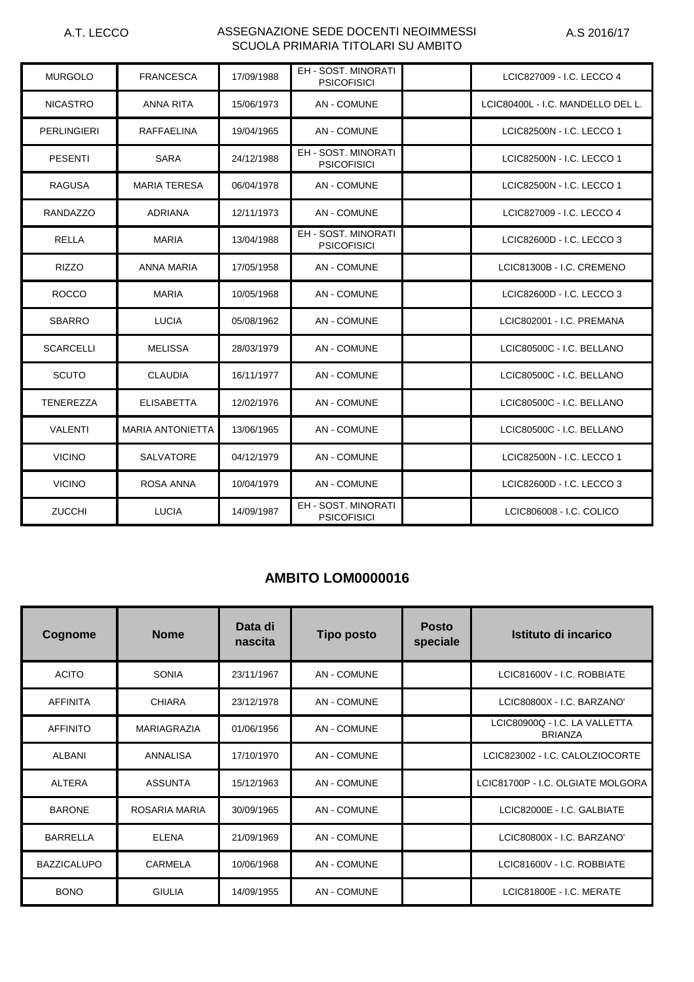| <b>MURGOLO</b>     | <b>FRANCESCA</b>        | 17/09/1988 | <b>EH - SOST, MINORATI</b><br><b>PSICOFISICI</b> | LCIC827009 - I.C. LECCO 4         |
|--------------------|-------------------------|------------|--------------------------------------------------|-----------------------------------|
| <b>NICASTRO</b>    | <b>ANNA RITA</b>        | 15/06/1973 | <b>AN - COMUNE</b>                               | LCIC80400L - I.C. MANDELLO DEL L. |
| <b>PERLINGIERI</b> | RAFFAELINA              | 19/04/1965 | AN - COMUNE                                      | LCIC82500N - I.C. LECCO 1         |
| <b>PESENTI</b>     | <b>SARA</b>             | 24/12/1988 | EH - SOST, MINORATI<br><b>PSICOFISICI</b>        | LCIC82500N - I.C. LECCO 1         |
| <b>RAGUSA</b>      | <b>MARIA TERESA</b>     | 06/04/1978 | <b>AN - COMUNE</b>                               | LCIC82500N - I.C. LECCO 1         |
| <b>RANDAZZO</b>    | <b>ADRIANA</b>          | 12/11/1973 | AN - COMUNE                                      | LCIC827009 - I.C. LECCO 4         |
| <b>RELLA</b>       | <b>MARIA</b>            | 13/04/1988 | EH - SOST. MINORATI<br><b>PSICOFISICI</b>        | LCIC82600D - I.C. LECCO 3         |
| <b>RIZZO</b>       | ANNA MARIA              | 17/05/1958 | <b>AN - COMUNE</b>                               | LCIC81300B - I.C. CREMENO         |
| <b>ROCCO</b>       | <b>MARIA</b>            | 10/05/1968 | AN - COMUNE                                      | LCIC82600D - I.C. LECCO 3         |
| <b>SBARRO</b>      | <b>LUCIA</b>            | 05/08/1962 | <b>AN - COMUNE</b>                               | LCIC802001 - I.C. PREMANA         |
| <b>SCARCELLI</b>   | MELISSA                 | 28/03/1979 | <b>AN - COMUNE</b>                               | LCIC80500C - I.C. BELLANO         |
| <b>SCUTO</b>       | <b>CLAUDIA</b>          | 16/11/1977 | AN - COMUNE                                      | LCIC80500C - I.C. BELLANO         |
| <b>TENEREZZA</b>   | <b>ELISABETTA</b>       | 12/02/1976 | <b>AN - COMUNE</b>                               | LCIC80500C - I.C. BELLANO         |
| <b>VALENTI</b>     | <b>MARIA ANTONIETTA</b> | 13/06/1965 | AN - COMUNE                                      | LCIC80500C - I.C. BELLANO         |
| <b>VICINO</b>      | <b>SALVATORE</b>        | 04/12/1979 | <b>AN - COMUNE</b>                               | LCIC82500N - I.C. LECCO 1         |
| <b>VICINO</b>      | <b>ROSA ANNA</b>        | 10/04/1979 | <b>AN-COMUNE</b>                                 | LCIC82600D - I.C. LECCO 3         |
| <b>ZUCCHI</b>      | <b>LUCIA</b>            | 14/09/1987 | EH - SOST. MINORATI<br><b>PSICOFISICI</b>        | LCIC806008 - I.C. COLICO          |

# **AMBITO LOM0000016**

| Cognome            | <b>Nome</b>        | Data di<br>nascita | <b>Tipo posto</b>  | <b>Posto</b><br>speciale | Istituto di incarico                            |
|--------------------|--------------------|--------------------|--------------------|--------------------------|-------------------------------------------------|
| <b>ACITO</b>       | <b>SONIA</b>       | 23/11/1967         | <b>AN - COMUNE</b> |                          | LCIC81600V - I.C. ROBBIATE                      |
| <b>AFFINITA</b>    | <b>CHIARA</b>      | 23/12/1978         | <b>AN - COMUNE</b> |                          | LCIC80800X - I.C. BARZANO'                      |
| <b>AFFINITO</b>    | <b>MARIAGRAZIA</b> | 01/06/1956         | <b>AN-COMUNE</b>   |                          | LCIC80900Q - I.C. LA VALLETTA<br><b>BRIANZA</b> |
| <b>ALBANI</b>      | <b>ANNALISA</b>    | 17/10/1970         | <b>AN-COMUNE</b>   |                          | LCIC823002 - I.C. CALOLZIOCORTE                 |
| <b>ALTERA</b>      | <b>ASSUNTA</b>     | 15/12/1963         | <b>AN - COMUNE</b> |                          | LCIC81700P - I.C. OLGIATE MOLGORA               |
| <b>BARONE</b>      | ROSARIA MARIA      | 30/09/1965         | <b>AN - COMUNE</b> |                          | LCIC82000E - I.C. GALBIATE                      |
| <b>BARRELLA</b>    | <b>ELENA</b>       | 21/09/1969         | <b>AN - COMUNE</b> |                          | LCIC80800X - I.C. BARZANO'                      |
| <b>BAZZICALUPO</b> | CARMELA            | 10/06/1968         | <b>AN-COMUNE</b>   |                          | LCIC81600V - I.C. ROBBIATE                      |
| <b>BONO</b>        | <b>GIULIA</b>      | 14/09/1955         | <b>AN - COMUNE</b> |                          | LCIC81800E - I.C. MERATE                        |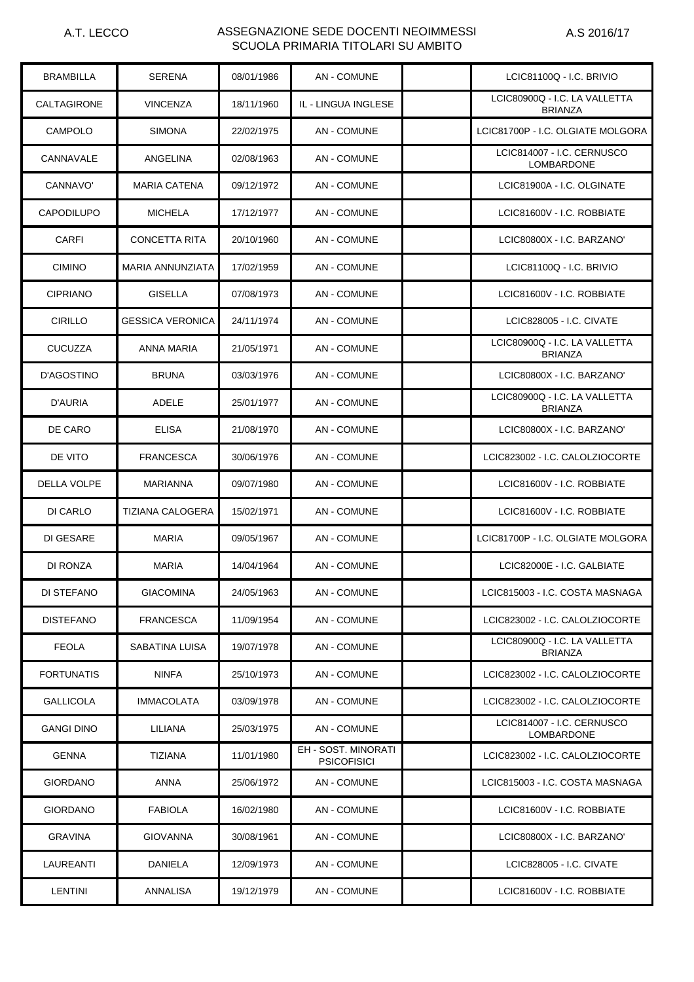| <b>BRAMBILLA</b>   | <b>SERENA</b>        | 08/01/1986 | <b>AN - COMUNE</b>                        | LCIC81100Q - I.C. BRIVIO                        |
|--------------------|----------------------|------------|-------------------------------------------|-------------------------------------------------|
| <b>CALTAGIRONE</b> | <b>VINCENZA</b>      | 18/11/1960 | IL - LINGUA INGLESE                       | LCIC80900Q - I.C. LA VALLETTA<br><b>BRIANZA</b> |
| <b>CAMPOLO</b>     | <b>SIMONA</b>        | 22/02/1975 | <b>AN - COMUNE</b>                        | LCIC81700P - I.C. OLGIATE MOLGORA               |
| CANNAVALE          | ANGELINA             | 02/08/1963 | <b>AN - COMUNE</b>                        | LCIC814007 - I.C. CERNUSCO<br><b>LOMBARDONE</b> |
| CANNAVO'           | <b>MARIA CATENA</b>  | 09/12/1972 | <b>AN - COMUNE</b>                        | LCIC81900A - I.C. OLGINATE                      |
| <b>CAPODILUPO</b>  | <b>MICHELA</b>       | 17/12/1977 | <b>AN - COMUNE</b>                        | LCIC81600V - I.C. ROBBIATE                      |
| CARFI              | <b>CONCETTA RITA</b> | 20/10/1960 | <b>AN - COMUNE</b>                        | LCIC80800X - I.C. BARZANO'                      |
| <b>CIMINO</b>      | MARIA ANNUNZIATA     | 17/02/1959 | <b>AN - COMUNE</b>                        | LCIC81100Q - I.C. BRIVIO                        |
| <b>CIPRIANO</b>    | <b>GISELLA</b>       | 07/08/1973 | <b>AN - COMUNE</b>                        | LCIC81600V - I.C. ROBBIATE                      |
| <b>CIRILLO</b>     | GESSICA VERONICA     | 24/11/1974 | <b>AN - COMUNE</b>                        | LCIC828005 - I.C. CIVATE                        |
| <b>CUCUZZA</b>     | ANNA MARIA           | 21/05/1971 | <b>AN - COMUNE</b>                        | LCIC80900Q - I.C. LA VALLETTA<br><b>BRIANZA</b> |
| D'AGOSTINO         | <b>BRUNA</b>         | 03/03/1976 | <b>AN - COMUNE</b>                        | LCIC80800X - I.C. BARZANO'                      |
| D'AURIA            | ADELE                | 25/01/1977 | AN - COMUNE                               | LCIC80900Q - I.C. LA VALLETTA<br><b>BRIANZA</b> |
| DE CARO            | <b>ELISA</b>         | 21/08/1970 | AN - COMUNE                               | LCIC80800X - I.C. BARZANO'                      |
| DE VITO            | <b>FRANCESCA</b>     | 30/06/1976 | <b>AN - COMUNE</b>                        | LCIC823002 - I.C. CALOLZIOCORTE                 |
| <b>DELLA VOLPE</b> | <b>MARIANNA</b>      | 09/07/1980 | AN - COMUNE                               | LCIC81600V - I.C. ROBBIATE                      |
| DI CARLO           | TIZIANA CALOGERA     | 15/02/1971 | <b>AN - COMUNE</b>                        | LCIC81600V - I.C. ROBBIATE                      |
| DI GESARE          | <b>MARIA</b>         | 09/05/1967 | <b>AN - COMUNE</b>                        | LCIC81700P - I.C. OLGIATE MOLGORA               |
| DI RONZA           | MARIA                | 14/04/1964 | <b>AN - COMUNE</b>                        | LCIC82000E - I.C. GALBIATE                      |
| DI STEFANO         | <b>GIACOMINA</b>     | 24/05/1963 | <b>AN - COMUNE</b>                        | LCIC815003 - I.C. COSTA MASNAGA                 |
| <b>DISTEFANO</b>   | <b>FRANCESCA</b>     | 11/09/1954 | <b>AN - COMUNE</b>                        | LCIC823002 - I.C. CALOLZIOCORTE                 |
| <b>FEOLA</b>       | SABATINA LUISA       | 19/07/1978 | AN - COMUNE                               | LCIC80900Q - I.C. LA VALLETTA<br><b>BRIANZA</b> |
| <b>FORTUNATIS</b>  | <b>NINFA</b>         | 25/10/1973 | <b>AN - COMUNE</b>                        | LCIC823002 - I.C. CALOLZIOCORTE                 |
| <b>GALLICOLA</b>   | <b>IMMACOLATA</b>    | 03/09/1978 | <b>AN-COMUNE</b>                          | LCIC823002 - I.C. CALOLZIOCORTE                 |
| <b>GANGI DINO</b>  | LILIANA              | 25/03/1975 | <b>AN-COMUNE</b>                          | LCIC814007 - I.C. CERNUSCO<br><b>LOMBARDONE</b> |
| <b>GENNA</b>       | <b>TIZIANA</b>       | 11/01/1980 | EH - SOST. MINORATI<br><b>PSICOFISICI</b> | LCIC823002 - I.C. CALOLZIOCORTE                 |
| <b>GIORDANO</b>    | ANNA                 | 25/06/1972 | <b>AN - COMUNE</b>                        | LCIC815003 - I.C. COSTA MASNAGA                 |
| <b>GIORDANO</b>    | FABIOLA              | 16/02/1980 | <b>AN - COMUNE</b>                        | LCIC81600V - I.C. ROBBIATE                      |
| <b>GRAVINA</b>     | <b>GIOVANNA</b>      | 30/08/1961 | <b>AN - COMUNE</b>                        | LCIC80800X - I.C. BARZANO'                      |
| LAUREANTI          | DANIELA              | 12/09/1973 | <b>AN - COMUNE</b>                        | LCIC828005 - I.C. CIVATE                        |
| <b>LENTINI</b>     | ANNALISA             | 19/12/1979 | AN - COMUNE                               | LCIC81600V - I.C. ROBBIATE                      |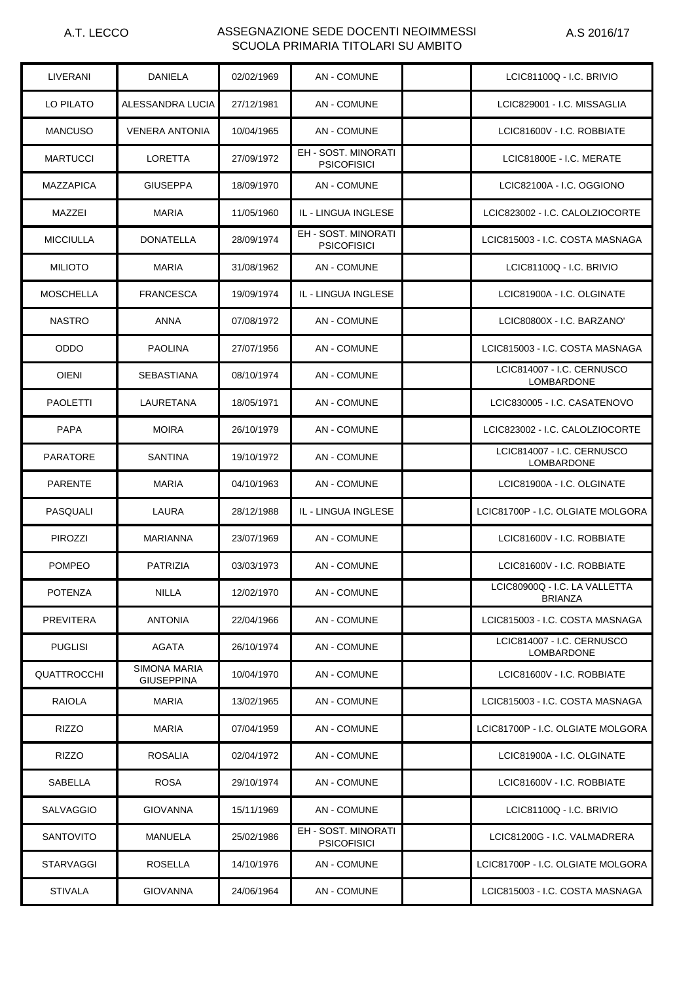| LIVERANI           | DANIELA                                  | 02/02/1969 | <b>AN - COMUNE</b>                               | LCIC81100Q - I.C. BRIVIO                        |
|--------------------|------------------------------------------|------------|--------------------------------------------------|-------------------------------------------------|
| LO PILATO          | ALESSANDRA LUCIA                         | 27/12/1981 | <b>AN - COMUNE</b>                               | LCIC829001 - I.C. MISSAGLIA                     |
| <b>MANCUSO</b>     | <b>VENERA ANTONIA</b>                    | 10/04/1965 | <b>AN - COMUNE</b>                               | LCIC81600V - I.C. ROBBIATE                      |
| <b>MARTUCCI</b>    | <b>LORETTA</b>                           | 27/09/1972 | <b>EH - SOST, MINORATI</b><br><b>PSICOFISICI</b> | LCIC81800E - I.C. MERATE                        |
| <b>MAZZAPICA</b>   | <b>GIUSEPPA</b>                          | 18/09/1970 | <b>AN - COMUNE</b>                               | LCIC82100A - I.C. OGGIONO                       |
| MAZZEI             | <b>MARIA</b>                             | 11/05/1960 | IL - LINGUA INGLESE                              | LCIC823002 - I.C. CALOLZIOCORTE                 |
| <b>MICCIULLA</b>   | <b>DONATELLA</b>                         | 28/09/1974 | <b>EH - SOST, MINORATI</b><br><b>PSICOFISICI</b> | LCIC815003 - I.C. COSTA MASNAGA                 |
| <b>MILIOTO</b>     | <b>MARIA</b>                             | 31/08/1962 | <b>AN - COMUNE</b>                               | LCIC81100Q - I.C. BRIVIO                        |
| <b>MOSCHELLA</b>   | <b>FRANCESCA</b>                         | 19/09/1974 | IL - LINGUA INGLESE                              | LCIC81900A - I.C. OLGINATE                      |
| <b>NASTRO</b>      | ANNA                                     | 07/08/1972 | <b>AN - COMUNE</b>                               | LCIC80800X - I.C. BARZANO'                      |
| <b>ODDO</b>        | <b>PAOLINA</b>                           | 27/07/1956 | <b>AN - COMUNE</b>                               | LCIC815003 - I.C. COSTA MASNAGA                 |
| <b>OIENI</b>       | <b>SEBASTIANA</b>                        | 08/10/1974 | AN - COMUNE                                      | LCIC814007 - I.C. CERNUSCO<br><b>LOMBARDONE</b> |
| PAOLETTI           | LAURETANA                                | 18/05/1971 | AN - COMUNE                                      | LCIC830005 - I.C. CASATENOVO                    |
| <b>PAPA</b>        | <b>MOIRA</b>                             | 26/10/1979 | <b>AN - COMUNE</b>                               | LCIC823002 - I.C. CALOLZIOCORTE                 |
| <b>PARATORE</b>    | SANTINA                                  | 19/10/1972 | AN - COMUNE                                      | LCIC814007 - I.C. CERNUSCO<br><b>LOMBARDONE</b> |
| <b>PARENTE</b>     | <b>MARIA</b>                             | 04/10/1963 | <b>AN - COMUNE</b>                               | LCIC81900A - I.C. OLGINATE                      |
| PASQUALI           | LAURA                                    | 28/12/1988 | IL - LINGUA INGLESE                              | LCIC81700P - I.C. OLGIATE MOLGORA               |
| <b>PIROZZI</b>     | MARIANNA                                 | 23/07/1969 | <b>AN-COMUNE</b>                                 | LCIC81600V - I.C. ROBBIATE                      |
| <b>POMPEO</b>      | <b>PATRIZIA</b>                          | 03/03/1973 | <b>AN - COMUNE</b>                               | LCIC81600V - I.C. ROBBIATE                      |
| <b>POTENZA</b>     | NILLA                                    | 12/02/1970 | <b>AN - COMUNE</b>                               | LCIC80900Q - I.C. LA VALLETTA<br><b>BRIANZA</b> |
| PREVITERA          | <b>ANTONIA</b>                           | 22/04/1966 | AN - COMUNE                                      | LCIC815003 - I.C. COSTA MASNAGA                 |
| <b>PUGLISI</b>     | <b>AGATA</b>                             | 26/10/1974 | <b>AN - COMUNE</b>                               | LCIC814007 - I.C. CERNUSCO<br>LOMBARDONE        |
| <b>QUATTROCCHI</b> | <b>SIMONA MARIA</b><br><b>GIUSEPPINA</b> | 10/04/1970 | AN - COMUNE                                      | LCIC81600V - I.C. ROBBIATE                      |
| <b>RAIOLA</b>      | MARIA                                    | 13/02/1965 | <b>AN - COMUNE</b>                               | LCIC815003 - I.C. COSTA MASNAGA                 |
| RIZZO              | MARIA                                    | 07/04/1959 | <b>AN - COMUNE</b>                               | LCIC81700P - I.C. OLGIATE MOLGORA               |
| RIZZO              | ROSALIA                                  | 02/04/1972 | <b>AN - COMUNE</b>                               | LCIC81900A - I.C. OLGINATE                      |
| SABELLA            | <b>ROSA</b>                              | 29/10/1974 | <b>AN - COMUNE</b>                               | LCIC81600V - I.C. ROBBIATE                      |
| SALVAGGIO          | <b>GIOVANNA</b>                          | 15/11/1969 | AN - COMUNE                                      | LCIC81100Q - I.C. BRIVIO                        |
| <b>SANTOVITO</b>   | MANUELA                                  | 25/02/1986 | EH - SOST. MINORATI<br><b>PSICOFISICI</b>        | LCIC81200G - I.C. VALMADRERA                    |
| <b>STARVAGGI</b>   | ROSELLA                                  | 14/10/1976 | AN - COMUNE                                      | LCIC81700P - I.C. OLGIATE MOLGORA               |
| <b>STIVALA</b>     | <b>GIOVANNA</b>                          | 24/06/1964 | AN - COMUNE                                      | LCIC815003 - I.C. COSTA MASNAGA                 |